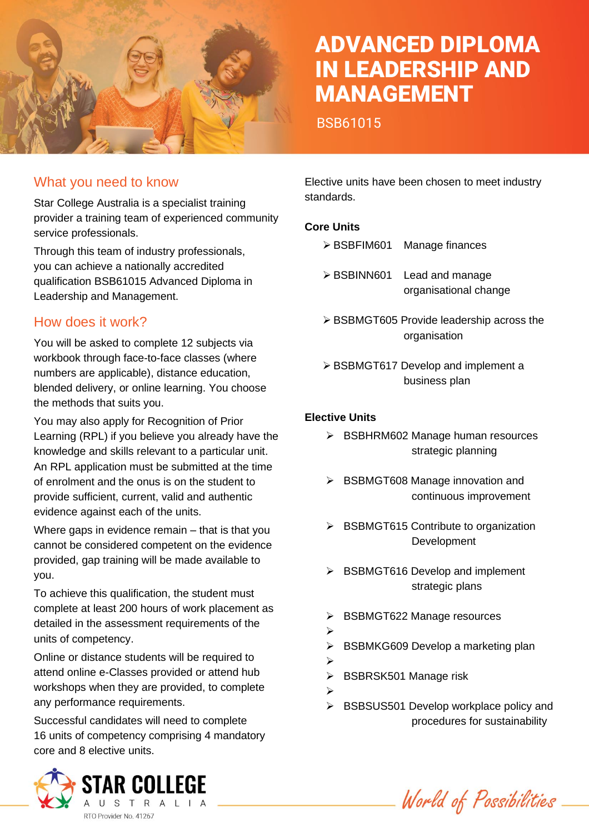

# ADVANCED DIPLOMA IN LEADERSHIP AND MANAGEMENT

BSB61015

#### What you need to know

Star College Australia is a specialist training provider a training team of experienced community service professionals.

Through this team of industry professionals, you can achieve a nationally accredited qualification BSB61015 Advanced Diploma in Leadership and Management.

#### How does it work?

You will be asked to complete 12 subjects via workbook through face-to-face classes (where numbers are applicable), distance education, blended delivery, or online learning. You choose the methods that suits you.

You may also apply for Recognition of Prior Learning (RPL) if you believe you already have the knowledge and skills relevant to a particular unit. An RPL application must be submitted at the time of enrolment and the onus is on the student to provide sufficient, current, valid and authentic evidence against each of the units.

Where gaps in evidence remain – that is that you cannot be considered competent on the evidence provided, gap training will be made available to you.

To achieve this qualification, the student must complete at least 200 hours of work placement as detailed in the assessment requirements of the units of competency.

Online or distance students will be required to attend online e-Classes provided or attend hub workshops when they are provided, to complete any performance requirements.

Successful candidates will need to complete 16 units of competency comprising 4 mandatory core and 8 elective units.



Elective units have been chosen to meet industry standards.

#### **Core Units**

- ➢ BSBFIM601 Manage finances
- ➢ BSBINN601 Lead and manage organisational change
- ➢ BSBMGT605 Provide leadership across the organisation
- ➢ BSBMGT617 Develop and implement a business plan

#### **Elective Units**

- ➢ BSBHRM602 Manage human resources strategic planning
- ➢ BSBMGT608 Manage innovation and continuous improvement
- ➢ BSBMGT615 Contribute to organization Development
- ➢ BSBMGT616 Develop and implement strategic plans
- ➢ BSBMGT622 Manage resources
- ➢
- ➢ BSBMKG609 Develop a marketing plan
- ➢
	- ➢ BSBRSK501 Manage risk
- ➢
- ➢ BSBSUS501 Develop workplace policy and procedures for sustainability

World of Possibilities